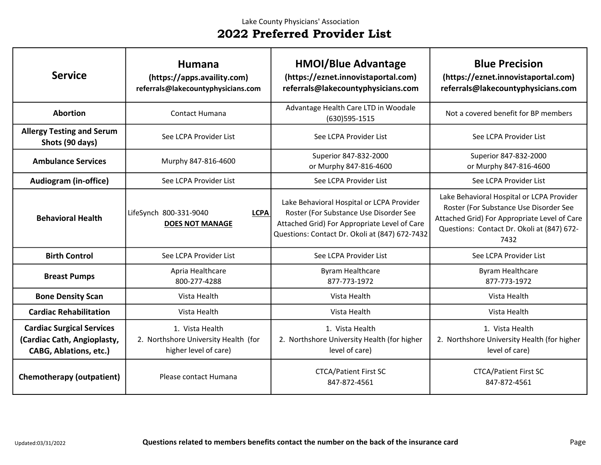| <b>Service</b>                                                                                   | <b>Humana</b><br>(https://apps.availity.com)<br>referrals@lakecountyphysicians.com | <b>HMOI/Blue Advantage</b><br>(https://eznet.innovistaportal.com)<br>referrals@lakecountyphysicians.com                                                                               | <b>Blue Precision</b><br>(https://eznet.innovistaportal.com)<br>referrals@lakecountyphysicians.com                                                                                        |
|--------------------------------------------------------------------------------------------------|------------------------------------------------------------------------------------|---------------------------------------------------------------------------------------------------------------------------------------------------------------------------------------|-------------------------------------------------------------------------------------------------------------------------------------------------------------------------------------------|
| <b>Abortion</b>                                                                                  | <b>Contact Humana</b>                                                              | Advantage Health Care LTD in Woodale<br>$(630)$ 595-1515                                                                                                                              | Not a covered benefit for BP members                                                                                                                                                      |
| <b>Allergy Testing and Serum</b><br>Shots (90 days)                                              | See LCPA Provider List                                                             | See LCPA Provider List                                                                                                                                                                | See LCPA Provider List                                                                                                                                                                    |
| <b>Ambulance Services</b>                                                                        | Murphy 847-816-4600                                                                | Superior 847-832-2000<br>or Murphy 847-816-4600                                                                                                                                       | Superior 847-832-2000<br>or Murphy 847-816-4600                                                                                                                                           |
| <b>Audiogram (in-office)</b>                                                                     | See LCPA Provider List                                                             | See LCPA Provider List                                                                                                                                                                | See LCPA Provider List                                                                                                                                                                    |
| <b>Behavioral Health</b>                                                                         | <b>LCPA</b><br>LifeSynch 800-331-9040<br><b>DOES NOT MANAGE</b>                    | Lake Behavioral Hospital or LCPA Provider<br>Roster (For Substance Use Disorder See<br>Attached Grid) For Appropriate Level of Care<br>Questions: Contact Dr. Okoli at (847) 672-7432 | Lake Behavioral Hospital or LCPA Provider<br>Roster (For Substance Use Disorder See<br>Attached Grid) For Appropriate Level of Care<br>Questions: Contact Dr. Okoli at (847) 672-<br>7432 |
| <b>Birth Control</b>                                                                             | See LCPA Provider List                                                             | See LCPA Provider List                                                                                                                                                                | See LCPA Provider List                                                                                                                                                                    |
| <b>Breast Pumps</b>                                                                              | Apria Healthcare<br>800-277-4288                                                   | <b>Byram Healthcare</b><br>877-773-1972                                                                                                                                               | <b>Byram Healthcare</b><br>877-773-1972                                                                                                                                                   |
| <b>Bone Density Scan</b>                                                                         | Vista Health                                                                       | Vista Health                                                                                                                                                                          | Vista Health                                                                                                                                                                              |
| <b>Cardiac Rehabilitation</b>                                                                    | Vista Health                                                                       | Vista Health                                                                                                                                                                          | Vista Health                                                                                                                                                                              |
| <b>Cardiac Surgical Services</b><br>(Cardiac Cath, Angioplasty,<br><b>CABG, Ablations, etc.)</b> | 1. Vista Health<br>2. Northshore University Health (for<br>higher level of care)   | 1. Vista Health<br>2. Northshore University Health (for higher<br>level of care)                                                                                                      | 1. Vista Health<br>2. Northshore University Health (for higher<br>level of care)                                                                                                          |
| <b>Chemotherapy (outpatient)</b>                                                                 | Please contact Humana                                                              | <b>CTCA/Patient First SC</b><br>847-872-4561                                                                                                                                          | <b>CTCA/Patient First SC</b><br>847-872-4561                                                                                                                                              |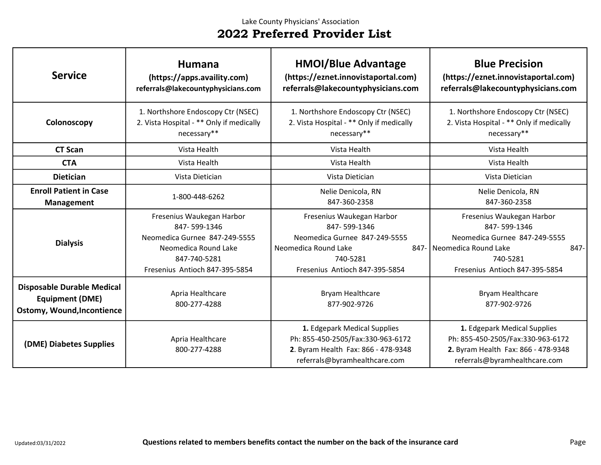| <b>Service</b>                                                                                   | <b>Humana</b><br>(https://apps.availity.com)<br>referrals@lakecountyphysicians.com                                                                   | <b>HMOI/Blue Advantage</b><br>(https://eznet.innovistaportal.com)<br>referrals@lakecountyphysicians.com                                          | <b>Blue Precision</b><br>(https://eznet.innovistaportal.com)<br>referrals@lakecountyphysicians.com                                                            |
|--------------------------------------------------------------------------------------------------|------------------------------------------------------------------------------------------------------------------------------------------------------|--------------------------------------------------------------------------------------------------------------------------------------------------|---------------------------------------------------------------------------------------------------------------------------------------------------------------|
| Colonoscopy                                                                                      | 1. Northshore Endoscopy Ctr (NSEC)<br>2. Vista Hospital - ** Only if medically<br>necessary**                                                        | 1. Northshore Endoscopy Ctr (NSEC)<br>2. Vista Hospital - ** Only if medically<br>necessary**                                                    | 1. Northshore Endoscopy Ctr (NSEC)<br>2. Vista Hospital - ** Only if medically<br>necessary**                                                                 |
| <b>CT Scan</b>                                                                                   | Vista Health                                                                                                                                         | Vista Health                                                                                                                                     | Vista Health                                                                                                                                                  |
| <b>CTA</b>                                                                                       | Vista Health                                                                                                                                         | Vista Health                                                                                                                                     | Vista Health                                                                                                                                                  |
| <b>Dietician</b>                                                                                 | Vista Dietician                                                                                                                                      | Vista Dietician                                                                                                                                  | Vista Dietician                                                                                                                                               |
| <b>Enroll Patient in Case</b><br><b>Management</b>                                               | 1-800-448-6262                                                                                                                                       | Nelie Denicola, RN<br>847-360-2358                                                                                                               | Nelie Denicola, RN<br>847-360-2358                                                                                                                            |
| <b>Dialysis</b>                                                                                  | Fresenius Waukegan Harbor<br>847-599-1346<br>Neomedica Gurnee 847-249-5555<br>Neomedica Round Lake<br>847-740-5281<br>Fresenius Antioch 847-395-5854 | Fresenius Waukegan Harbor<br>847-599-1346<br>Neomedica Gurnee 847-249-5555<br>Neomedica Round Lake<br>740-5281<br>Fresenius Antioch 847-395-5854 | Fresenius Waukegan Harbor<br>847-599-1346<br>Neomedica Gurnee 847-249-5555<br>847- Neomedica Round Lake<br>847-<br>740-5281<br>Fresenius Antioch 847-395-5854 |
| <b>Disposable Durable Medical</b><br><b>Equipment (DME)</b><br><b>Ostomy, Wound, Incontience</b> | Apria Healthcare<br>800-277-4288                                                                                                                     | Bryam Healthcare<br>877-902-9726                                                                                                                 | Bryam Healthcare<br>877-902-9726                                                                                                                              |
| (DME) Diabetes Supplies                                                                          | Apria Healthcare<br>800-277-4288                                                                                                                     | 1. Edgepark Medical Supplies<br>Ph: 855-450-2505/Fax:330-963-6172<br>2. Byram Health Fax: 866 - 478-9348<br>referrals@byramhealthcare.com        | 1. Edgepark Medical Supplies<br>Ph: 855-450-2505/Fax:330-963-6172<br>2. Byram Health Fax: 866 - 478-9348<br>referrals@byramhealthcare.com                     |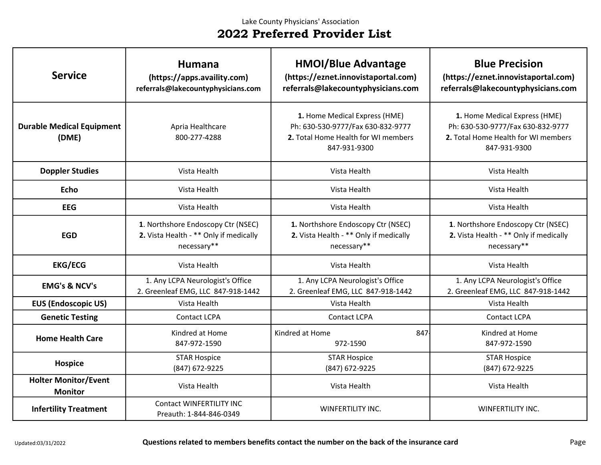| <b>Service</b>                                | <b>Humana</b><br>(https://apps.availity.com)<br>referrals@lakecountyphysicians.com          | <b>HMOI/Blue Advantage</b><br>(https://eznet.innovistaportal.com)<br>referrals@lakecountyphysicians.com                   | <b>Blue Precision</b><br>(https://eznet.innovistaportal.com)<br>referrals@lakecountyphysicians.com                        |
|-----------------------------------------------|---------------------------------------------------------------------------------------------|---------------------------------------------------------------------------------------------------------------------------|---------------------------------------------------------------------------------------------------------------------------|
| <b>Durable Medical Equipment</b><br>(DME)     | Apria Healthcare<br>800-277-4288                                                            | 1. Home Medical Express (HME)<br>Ph: 630-530-9777/Fax 630-832-9777<br>2. Total Home Health for WI members<br>847-931-9300 | 1. Home Medical Express (HME)<br>Ph: 630-530-9777/Fax 630-832-9777<br>2. Total Home Health for WI members<br>847-931-9300 |
| <b>Doppler Studies</b>                        | Vista Health                                                                                | Vista Health                                                                                                              | Vista Health                                                                                                              |
| <b>Echo</b>                                   | Vista Health                                                                                | Vista Health                                                                                                              | Vista Health                                                                                                              |
| <b>EEG</b>                                    | Vista Health                                                                                | Vista Health                                                                                                              | Vista Health                                                                                                              |
| <b>EGD</b>                                    | 1. Northshore Endoscopy Ctr (NSEC)<br>2. Vista Health - ** Only if medically<br>necessary** | 1. Northshore Endoscopy Ctr (NSEC)<br>2. Vista Health - ** Only if medically<br>necessary**                               | 1. Northshore Endoscopy Ctr (NSEC)<br>2. Vista Health - ** Only if medically<br>necessary**                               |
| <b>EKG/ECG</b>                                | Vista Health                                                                                | Vista Health                                                                                                              | Vista Health                                                                                                              |
| <b>EMG's &amp; NCV's</b>                      | 1. Any LCPA Neurologist's Office<br>2. Greenleaf EMG, LLC 847-918-1442                      | 1. Any LCPA Neurologist's Office<br>2. Greenleaf EMG, LLC 847-918-1442                                                    | 1. Any LCPA Neurologist's Office<br>2. Greenleaf EMG, LLC 847-918-1442                                                    |
| <b>EUS (Endoscopic US)</b>                    | Vista Health                                                                                | Vista Health                                                                                                              | Vista Health                                                                                                              |
| <b>Genetic Testing</b>                        | Contact LCPA                                                                                | Contact LCPA                                                                                                              | <b>Contact LCPA</b>                                                                                                       |
| <b>Home Health Care</b>                       | Kindred at Home<br>847-972-1590                                                             | Kindred at Home<br>847<br>972-1590                                                                                        | Kindred at Home<br>847-972-1590                                                                                           |
| <b>Hospice</b>                                | <b>STAR Hospice</b><br>(847) 672-9225                                                       | <b>STAR Hospice</b><br>(847) 672-9225                                                                                     | <b>STAR Hospice</b><br>(847) 672-9225                                                                                     |
| <b>Holter Monitor/Event</b><br><b>Monitor</b> | Vista Health                                                                                | Vista Health                                                                                                              | Vista Health                                                                                                              |
| <b>Infertility Treatment</b>                  | Contact WINFERTILITY INC<br>Preauth: 1-844-846-0349                                         | <b>WINFERTILITY INC.</b>                                                                                                  | WINFERTILITY INC.                                                                                                         |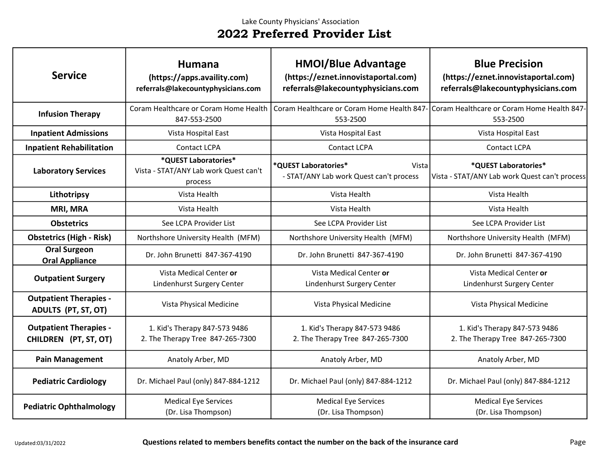| <b>Service</b>                                         | Humana<br>(https://apps.availity.com)<br>referrals@lakecountyphysicians.com | <b>HMOI/Blue Advantage</b><br>(https://eznet.innovistaportal.com)<br>referrals@lakecountyphysicians.com | <b>Blue Precision</b><br>(https://eznet.innovistaportal.com)<br>referrals@lakecountyphysicians.com |
|--------------------------------------------------------|-----------------------------------------------------------------------------|---------------------------------------------------------------------------------------------------------|----------------------------------------------------------------------------------------------------|
| <b>Infusion Therapy</b>                                | Coram Healthcare or Coram Home Health<br>847-553-2500                       | Coram Healthcare or Coram Home Health 847-<br>553-2500                                                  | Coram Healthcare or Coram Home Health 847-<br>553-2500                                             |
| <b>Inpatient Admissions</b>                            | Vista Hospital East                                                         | Vista Hospital East                                                                                     | Vista Hospital East                                                                                |
| <b>Inpatient Rehabilitation</b>                        | <b>Contact LCPA</b>                                                         | <b>Contact LCPA</b>                                                                                     | Contact LCPA                                                                                       |
| <b>Laboratory Services</b>                             | *QUEST Laboratories*<br>Vista - STAT/ANY Lab work Quest can't<br>process    | *QUEST Laboratories*<br>Vista<br>- STAT/ANY Lab work Quest can't process                                | *QUEST Laboratories*<br>Vista - STAT/ANY Lab work Quest can't process                              |
| Lithotripsy                                            | Vista Health                                                                | Vista Health                                                                                            | Vista Health                                                                                       |
| <b>MRI, MRA</b>                                        | Vista Health                                                                | Vista Health                                                                                            | Vista Health                                                                                       |
| <b>Obstetrics</b>                                      | See LCPA Provider List                                                      | See LCPA Provider List                                                                                  | See LCPA Provider List                                                                             |
| <b>Obstetrics (High - Risk)</b>                        | Northshore University Health (MFM)                                          | Northshore University Health (MFM)                                                                      | Northshore University Health (MFM)                                                                 |
| <b>Oral Surgeon</b><br><b>Oral Appliance</b>           | Dr. John Brunetti 847-367-4190                                              | Dr. John Brunetti 847-367-4190                                                                          | Dr. John Brunetti 847-367-4190                                                                     |
| <b>Outpatient Surgery</b>                              | Vista Medical Center or<br>Lindenhurst Surgery Center                       | Vista Medical Center or<br>Lindenhurst Surgery Center                                                   | Vista Medical Center or<br>Lindenhurst Surgery Center                                              |
| <b>Outpatient Therapies -</b><br>ADULTS (PT, ST, OT)   | Vista Physical Medicine                                                     | Vista Physical Medicine                                                                                 | Vista Physical Medicine                                                                            |
| <b>Outpatient Therapies -</b><br>CHILDREN (PT, ST, OT) | 1. Kid's Therapy 847-573 9486<br>2. The Therapy Tree 847-265-7300           | 1. Kid's Therapy 847-573 9486<br>2. The Therapy Tree 847-265-7300                                       | 1. Kid's Therapy 847-573 9486<br>2. The Therapy Tree 847-265-7300                                  |
| <b>Pain Management</b>                                 | Anatoly Arber, MD                                                           | Anatoly Arber, MD                                                                                       | Anatoly Arber, MD                                                                                  |
| <b>Pediatric Cardiology</b>                            | Dr. Michael Paul (only) 847-884-1212                                        | Dr. Michael Paul (only) 847-884-1212                                                                    | Dr. Michael Paul (only) 847-884-1212                                                               |
| <b>Pediatric Ophthalmology</b>                         | <b>Medical Eye Services</b><br>(Dr. Lisa Thompson)                          | <b>Medical Eye Services</b><br>(Dr. Lisa Thompson)                                                      | <b>Medical Eye Services</b><br>(Dr. Lisa Thompson)                                                 |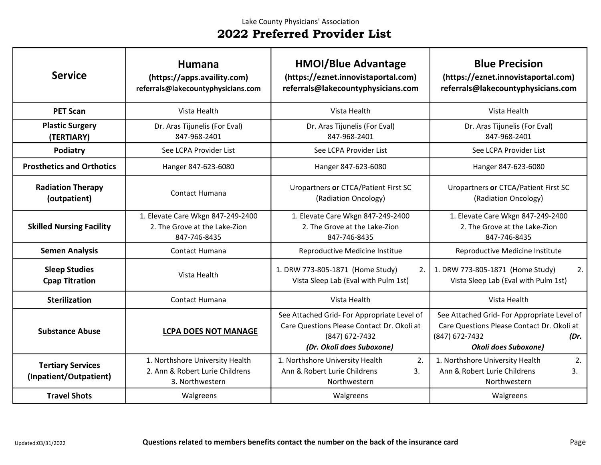| <b>Service</b>                                     | Humana<br>(https://apps.availity.com)<br>referrals@lakecountyphysicians.com           | <b>HMOI/Blue Advantage</b><br>(https://eznet.innovistaportal.com)<br>referrals@lakecountyphysicians.com                                  | <b>Blue Precision</b><br>(https://eznet.innovistaportal.com)<br>referrals@lakecountyphysicians.com                                         |
|----------------------------------------------------|---------------------------------------------------------------------------------------|------------------------------------------------------------------------------------------------------------------------------------------|--------------------------------------------------------------------------------------------------------------------------------------------|
| <b>PET Scan</b>                                    | Vista Health                                                                          | Vista Health                                                                                                                             | Vista Health                                                                                                                               |
| <b>Plastic Surgery</b><br>(TERTIARY)               | Dr. Aras Tijunelis (For Eval)<br>847-968-2401                                         | Dr. Aras Tijunelis (For Eval)<br>847-968-2401                                                                                            | Dr. Aras Tijunelis (For Eval)<br>847-968-2401                                                                                              |
| Podiatry                                           | See LCPA Provider List                                                                | See LCPA Provider List                                                                                                                   | See LCPA Provider List                                                                                                                     |
| <b>Prosthetics and Orthotics</b>                   | Hanger 847-623-6080                                                                   | Hanger 847-623-6080                                                                                                                      | Hanger 847-623-6080                                                                                                                        |
| <b>Radiation Therapy</b><br>(outpatient)           | Contact Humana                                                                        | Uropartners or CTCA/Patient First SC<br>(Radiation Oncology)                                                                             | Uropartners or CTCA/Patient First SC<br>(Radiation Oncology)                                                                               |
| <b>Skilled Nursing Facility</b>                    | 1. Elevate Care Wkgn 847-249-2400<br>2. The Grove at the Lake-Zion<br>847-746-8435    | 1. Elevate Care Wkgn 847-249-2400<br>2. The Grove at the Lake-Zion<br>847-746-8435                                                       | 1. Elevate Care Wkgn 847-249-2400<br>2. The Grove at the Lake-Zion<br>847-746-8435                                                         |
| <b>Semen Analysis</b>                              | Contact Humana                                                                        | Reproductive Medicine Institue                                                                                                           | Reproductive Medicine Institute                                                                                                            |
| <b>Sleep Studies</b><br><b>Cpap Titration</b>      | Vista Health                                                                          | 1. DRW 773-805-1871 (Home Study)<br>2.<br>Vista Sleep Lab (Eval with Pulm 1st)                                                           | 1. DRW 773-805-1871 (Home Study)<br>2.<br>Vista Sleep Lab (Eval with Pulm 1st)                                                             |
| <b>Sterilization</b>                               | Contact Humana                                                                        | Vista Health                                                                                                                             | Vista Health                                                                                                                               |
| <b>Substance Abuse</b>                             | <b>LCPA DOES NOT MANAGE</b>                                                           | See Attached Grid- For Appropriate Level of<br>Care Questions Please Contact Dr. Okoli at<br>(847) 672-7432<br>(Dr. Okoli does Suboxone) | See Attached Grid-For Appropriate Level of<br>Care Questions Please Contact Dr. Okoli at<br>(847) 672-7432<br>(Dr.<br>Okoli does Suboxone) |
| <b>Tertiary Services</b><br>(Inpatient/Outpatient) | 1. Northshore University Health<br>2. Ann & Robert Lurie Childrens<br>3. Northwestern | 1. Northshore University Health<br>2.<br>Ann & Robert Lurie Childrens<br>3.<br>Northwestern                                              | 2.<br>1. Northshore University Health<br>Ann & Robert Lurie Childrens<br>3.<br>Northwestern                                                |
| <b>Travel Shots</b>                                | Walgreens                                                                             | Walgreens                                                                                                                                | Walgreens                                                                                                                                  |